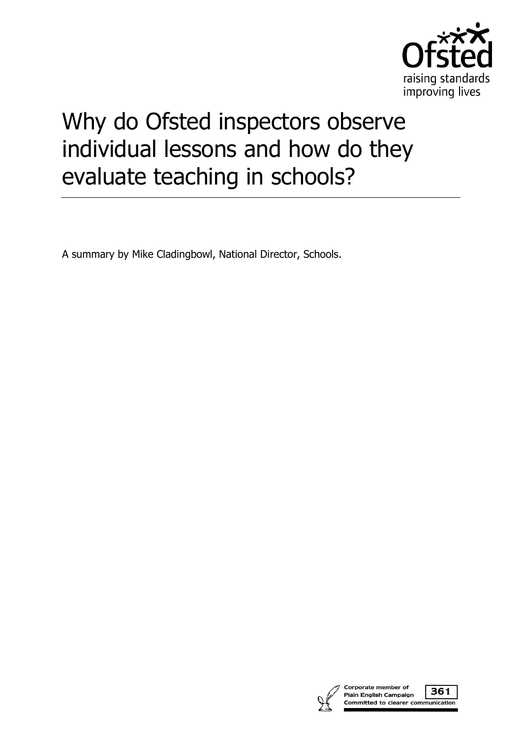

## Why do Ofsted inspectors observe individual lessons and how do they evaluate teaching in schools?

A summary by Mike Cladingbowl, National Director, Schools.

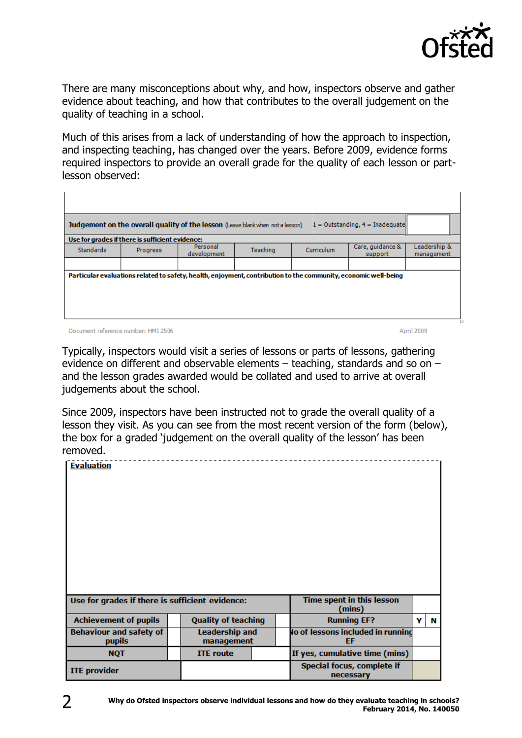

There are many misconceptions about why, and how, inspectors observe and gather evidence about teaching, and how that contributes to the overall judgement on the quality of teaching in a school.

Much of this arises from a lack of understanding of how the approach to inspection, and inspecting teaching, has changed over the years. Before 2009, evidence forms required inspectors to provide an overall grade for the quality of each lesson or partlesson observed:

| Judgement on the overall quality of the lesson (Leave blank when not a lesson)<br>$1 =$ Outstanding, $4 =$ Inadequate |                                                                                                                 |                         |          |                   |                             |                            |  |  |  |  |  |  |  |
|-----------------------------------------------------------------------------------------------------------------------|-----------------------------------------------------------------------------------------------------------------|-------------------------|----------|-------------------|-----------------------------|----------------------------|--|--|--|--|--|--|--|
| Use for grades if there is sufficient evidence:                                                                       |                                                                                                                 |                         |          |                   |                             |                            |  |  |  |  |  |  |  |
| <b>Standards</b>                                                                                                      | Progress                                                                                                        | Personal<br>development | Teaching | <b>Curriculum</b> | Care, quidance &<br>support | Leadership &<br>management |  |  |  |  |  |  |  |
|                                                                                                                       |                                                                                                                 |                         |          |                   |                             |                            |  |  |  |  |  |  |  |
|                                                                                                                       | Particular evaluations related to safety, health, enjoyment, contribution to the community, economic well-being |                         |          |                   |                             |                            |  |  |  |  |  |  |  |

Document reference number: HMI 2506

April 2009

Typically, inspectors would visit a series of lessons or parts of lessons, gathering evidence on different and observable elements – teaching, standards and so on – and the lesson grades awarded would be collated and used to arrive at overall judgements about the school.

Since 2009, inspectors have been instructed not to grade the overall quality of a lesson they visit. As you can see from the most recent version of the form (below), the box for a graded 'judgement on the overall quality of the lesson' has been removed.

| <b>Evaluation</b>                               |  |                                     |  |                                         |   |   |
|-------------------------------------------------|--|-------------------------------------|--|-----------------------------------------|---|---|
| Use for grades if there is sufficient evidence: |  | Time spent in this lesson<br>(mins) |  |                                         |   |   |
| <b>Achievement of pupils</b>                    |  | <b>Quality of teaching</b>          |  | <b>Running EF?</b>                      | v | N |
| <b>Behaviour and safety of</b><br><b>pupils</b> |  | <b>Leadership and</b><br>management |  | lo of lessons included in running<br>EF |   |   |
| <b>NQT</b>                                      |  | <b>ITE</b> route                    |  | If yes, cumulative time (mins)          |   |   |
| <b>ITE</b> provider                             |  |                                     |  | Special focus, complete if<br>necessary |   |   |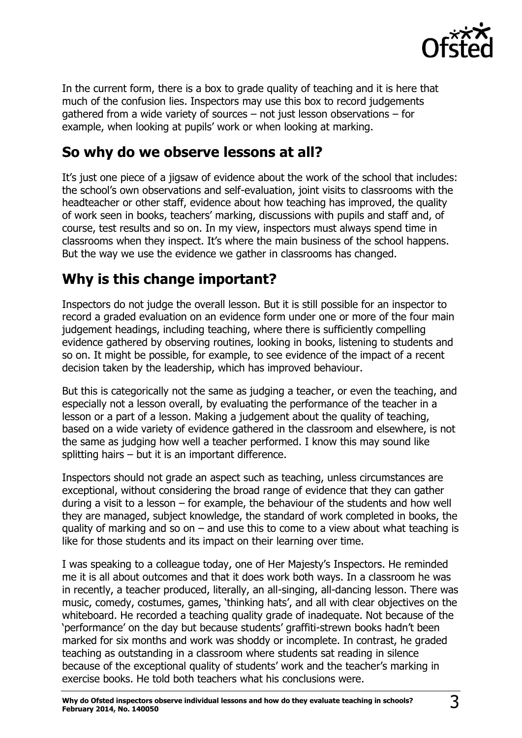

In the current form, there is a box to grade quality of teaching and it is here that much of the confusion lies. Inspectors may use this box to record judgements gathered from a wide variety of sources – not just lesson observations – for example, when looking at pupils' work or when looking at marking.

## **So why do we observe lessons at all?**

It's just one piece of a jigsaw of evidence about the work of the school that includes: the school's own observations and self-evaluation, joint visits to classrooms with the headteacher or other staff, evidence about how teaching has improved, the quality of work seen in books, teachers' marking, discussions with pupils and staff and, of course, test results and so on. In my view, inspectors must always spend time in classrooms when they inspect. It's where the main business of the school happens. But the way we use the evidence we gather in classrooms has changed.

## **Why is this change important?**

Inspectors do not judge the overall lesson. But it is still possible for an inspector to record a graded evaluation on an evidence form under one or more of the four main judgement headings, including teaching, where there is sufficiently compelling evidence gathered by observing routines, looking in books, listening to students and so on. It might be possible, for example, to see evidence of the impact of a recent decision taken by the leadership, which has improved behaviour.

But this is categorically not the same as judging a teacher, or even the teaching, and especially not a lesson overall, by evaluating the performance of the teacher in a lesson or a part of a lesson. Making a judgement about the quality of teaching, based on a wide variety of evidence gathered in the classroom and elsewhere, is not the same as judging how well a teacher performed. I know this may sound like splitting hairs – but it is an important difference.

Inspectors should not grade an aspect such as teaching, unless circumstances are exceptional, without considering the broad range of evidence that they can gather during a visit to a lesson – for example, the behaviour of the students and how well they are managed, subject knowledge, the standard of work completed in books, the quality of marking and so on  $-$  and use this to come to a view about what teaching is like for those students and its impact on their learning over time.

I was speaking to a colleague today, one of Her Majesty's Inspectors. He reminded me it is all about outcomes and that it does work both ways. In a classroom he was in recently, a teacher produced, literally, an all-singing, all-dancing lesson. There was music, comedy, costumes, games, 'thinking hats', and all with clear objectives on the whiteboard. He recorded a teaching quality grade of inadequate. Not because of the 'performance' on the day but because students' graffiti-strewn books hadn't been marked for six months and work was shoddy or incomplete. In contrast, he graded teaching as outstanding in a classroom where students sat reading in silence because of the exceptional quality of students' work and the teacher's marking in exercise books. He told both teachers what his conclusions were.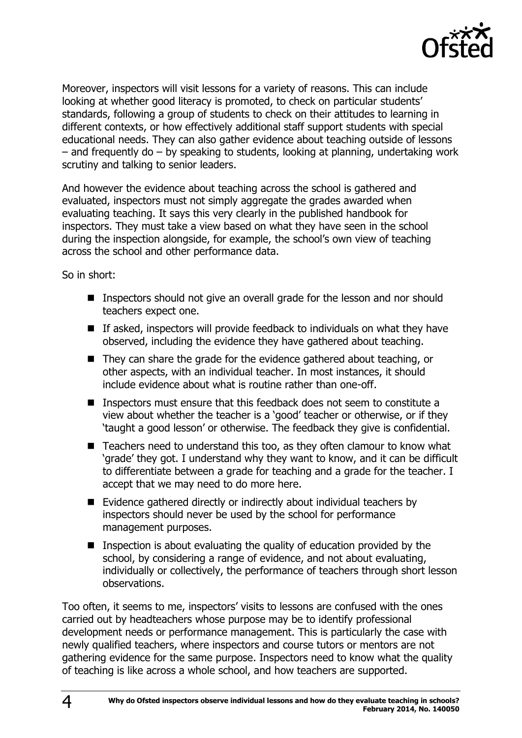

Moreover, inspectors will visit lessons for a variety of reasons. This can include looking at whether good literacy is promoted, to check on particular students' standards, following a group of students to check on their attitudes to learning in different contexts, or how effectively additional staff support students with special educational needs. They can also gather evidence about teaching outside of lessons – and frequently do – by speaking to students, looking at planning, undertaking work scrutiny and talking to senior leaders.

And however the evidence about teaching across the school is gathered and evaluated, inspectors must not simply aggregate the grades awarded when evaluating teaching. It says this very clearly in the published handbook for inspectors. They must take a view based on what they have seen in the school during the inspection alongside, for example, the school's own view of teaching across the school and other performance data.

So in short:

- Inspectors should not give an overall grade for the lesson and nor should teachers expect one.
- $\blacksquare$  If asked, inspectors will provide feedback to individuals on what they have observed, including the evidence they have gathered about teaching.
- They can share the grade for the evidence gathered about teaching, or other aspects, with an individual teacher. In most instances, it should include evidence about what is routine rather than one-off.
- Inspectors must ensure that this feedback does not seem to constitute a view about whether the teacher is a 'good' teacher or otherwise, or if they 'taught a good lesson' or otherwise. The feedback they give is confidential.
- Teachers need to understand this too, as they often clamour to know what 'grade' they got. I understand why they want to know, and it can be difficult to differentiate between a grade for teaching and a grade for the teacher. I accept that we may need to do more here.
- Evidence gathered directly or indirectly about individual teachers by inspectors should never be used by the school for performance management purposes.
- **Inspection is about evaluating the quality of education provided by the** school, by considering a range of evidence, and not about evaluating, individually or collectively, the performance of teachers through short lesson observations.

Too often, it seems to me, inspectors' visits to lessons are confused with the ones carried out by headteachers whose purpose may be to identify professional development needs or performance management. This is particularly the case with newly qualified teachers, where inspectors and course tutors or mentors are not gathering evidence for the same purpose. Inspectors need to know what the quality of teaching is like across a whole school, and how teachers are supported.